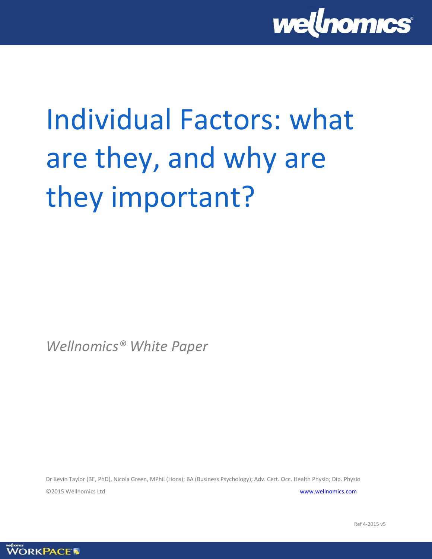

# Individual Factors: what are they, and why are they important?

*Wellnomics® White Paper*

Dr Kevin Taylor (BE, PhD), Nicola Green, MPhil (Hons); BA (Business Psychology); Adv. Cert. Occ. Health Physio; Dip. Physio ©2015 Wellnomics Ltd [www.wellnomics.com](http://www.wellnomics.com/)

**WORKPACE** 

Ref 4-2015 v5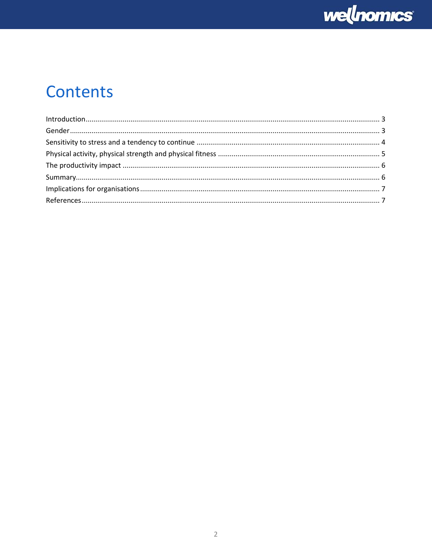

# Contents

| $\label{eq:interadd} \text{Introduction}\\ \text{and} \; \text{a} \; \text{b}$ |  |
|--------------------------------------------------------------------------------|--|
|                                                                                |  |
|                                                                                |  |
|                                                                                |  |
|                                                                                |  |
|                                                                                |  |
|                                                                                |  |
|                                                                                |  |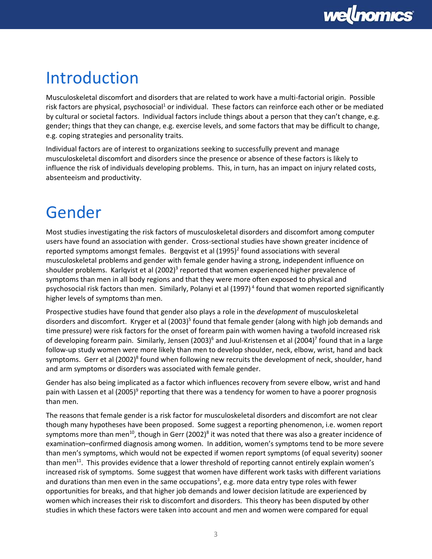

## <span id="page-2-0"></span>Introduction

Musculoskeletal discomfort and disorders that are related to work have a multi-factorial origin. Possible risk factors are physical, psychosocial<sup>1</sup> or individual. These factors can reinforce each other or be mediated by cultural or societal factors. Individual factors include things about a person that they can't change, e.g. gender; things that they can change, e.g. exercise levels, and some factors that may be difficult to change, e.g. coping strategies and personality traits.

Individual factors are of interest to organizations seeking to successfully prevent and manage musculoskeletal discomfort and disorders since the presence or absence of these factors is likely to influence the risk of individuals developing problems. This, in turn, has an impact on injury related costs, absenteeism and productivity.

# <span id="page-2-1"></span>Gender

Most studies investigating the risk factors of musculoskeletal disorders and discomfort among computer users have found an association with gender. Cross-sectional studies have shown greater incidence of reported symptoms amongst females. Bergqvist et al  $(1995)^2$  found associations with several musculoskeletal problems and gender with female gender having a strong, independent influence on shoulder problems. Karlqvist et al (2002)<sup>3</sup> reported that women experienced higher prevalence of symptoms than men in all body regions and that they were more often exposed to physical and psychosocial risk factors than men. Similarly, Polanyi et al (1997)<sup>4</sup> found that women reported significantly higher levels of symptoms than men.

Prospective studies have found that gender also plays a role in the *development* of musculoskeletal disorders and discomfort. Kryger et al (2003)<sup>5</sup> found that female gender (along with high job demands and time pressure) were risk factors for the onset of forearm pain with women having a twofold increased risk of developing forearm pain. Similarly, Jensen (2003)<sup>6</sup> and Juul-Kristensen et al (2004)<sup>7</sup> found that in a large follow-up study women were more likely than men to develop shoulder, neck, elbow, wrist, hand and back symptoms. Gerr et al (2002)<sup>8</sup> found when following new recruits the development of neck, shoulder, hand and arm symptoms or disorders was associated with female gender.

Gender has also being implicated as a factor which influences recovery from severe elbow, wrist and hand pain with Lassen et al (2005)<sup>9</sup> reporting that there was a tendency for women to have a poorer prognosis than men.

The reasons that female gender is a risk factor for musculoskeletal disorders and discomfort are not clear though many hypotheses have been proposed. Some suggest a reporting phenomenon, i.e. women report symptoms more than men<sup>10</sup>, though in Gerr (2002)<sup>8</sup> it was noted that there was also a greater incidence of examination–confirmed diagnosis among women. In addition, women's symptoms tend to be more severe than men's symptoms, which would not be expected if women report symptoms (of equal severity) sooner than men<sup>11</sup>. This provides evidence that a lower threshold of reporting cannot entirely explain women's increased risk of symptoms. Some suggest that women have different work tasks with different variations and durations than men even in the same occupations<sup>3</sup>, e.g. more data entry type roles with fewer opportunities for breaks, and that higher job demands and lower decision latitude are experienced by women which increases their risk to discomfort and disorders. This theory has been disputed by other studies in which these factors were taken into account and men and women were compared for equal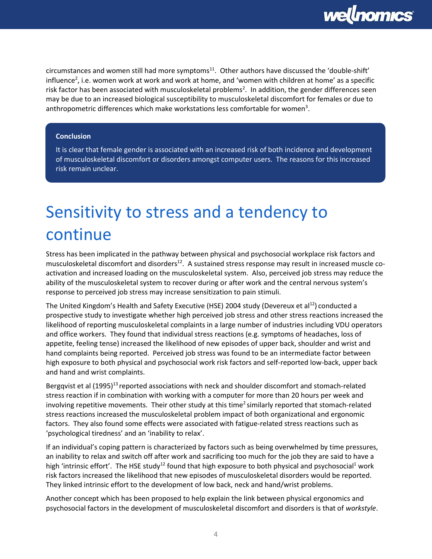

 $circ$  circumstances and women still had more symptoms $11$ . Other authors have discussed the 'double-shift' influence<sup>2</sup>, i.e. women work at work and work at home, and 'women with children at home' as a specific risk factor has been associated with musculoskeletal problems<sup>2</sup>. In addition, the gender differences seen may be due to an increased biological susceptibility to musculoskeletal discomfort for females or due to anthropometric differences which make workstations less comfortable for women<sup>3</sup>.

#### **Conclusion**

It is clear that female gender is associated with an increased risk of both incidence and development of musculoskeletal discomfort or disorders amongst computer users. The reasons for this increased risk remain unclear.

# <span id="page-3-0"></span>Sensitivity to stress and a tendency to continue

Stress has been implicated in the pathway between physical and psychosocial workplace risk factors and musculoskeletal discomfort and disorders<sup>12</sup>. A sustained stress response may result in increased muscle coactivation and increased loading on the musculoskeletal system. Also, perceived job stress may reduce the ability of the musculoskeletal system to recover during or after work and the central nervous system's response to perceived job stress may increase sensitization to pain stimuli.

The United Kingdom's Health and Safety Executive (HSE) 2004 study (Devereux et al<sup>12</sup>) conducted a prospective study to investigate whether high perceived job stress and other stress reactions increased the likelihood of reporting musculoskeletal complaints in a large number of industries including VDU operators and office workers. They found that individual stress reactions (e.g. symptoms of headaches, loss of appetite, feeling tense) increased the likelihood of new episodes of upper back, shoulder and wrist and hand complaints being reported. Perceived job stress was found to be an intermediate factor between high exposure to both physical and psychosocial work risk factors and self-reported low-back, upper back and hand and wrist complaints.

Bergqvist et al (1995)<sup>13</sup> reported associations with neck and shoulder discomfort and stomach-related stress reaction if in combination with working with a computer for more than 20 hours per week and involving repetitive movements. Their other study at this time<sup>2</sup> similarly reported that stomach-related stress reactions increased the musculoskeletal problem impact of both organizational and ergonomic factors. They also found some effects were associated with fatigue-related stress reactions such as 'psychological tiredness' and an 'inability to relax'.

If an individual's coping pattern is characterized by factors such as being overwhelmed by time pressures, an inability to relax and switch off after work and sacrificing too much for the job they are said to have a high 'intrinsic effort'. The HSE study<sup>12</sup> found that high exposure to both physical and psychosocial<sup>1</sup> work risk factors increased the likelihood that new episodes of musculoskeletal disorders would be reported. They linked intrinsic effort to the development of low back, neck and hand/wrist problems.

Another concept which has been proposed to help explain the link between physical ergonomics and psychosocial factors in the development of musculoskeletal discomfort and disorders is that of *workstyle*.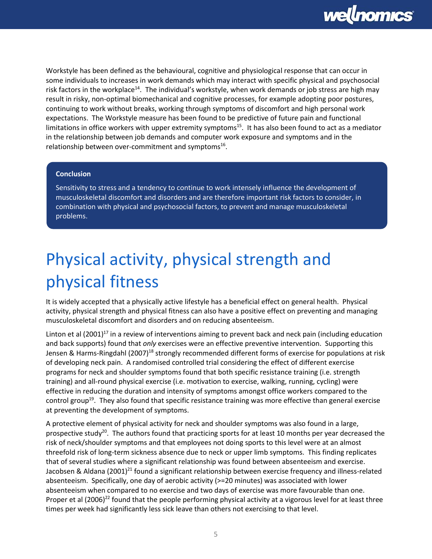

Workstyle has been defined as the behavioural, cognitive and physiological response that can occur in some individuals to increases in work demands which may interact with specific physical and psychosocial risk factors in the workplace<sup>14</sup>. The individual's workstyle, when work demands or job stress are high may result in risky, non-optimal biomechanical and cognitive processes, for example adopting poor postures, continuing to work without breaks, working through symptoms of discomfort and high personal work expectations. The Workstyle measure has been found to be predictive of future pain and functional limitations in office workers with upper extremity symptoms<sup>15</sup>. It has also been found to act as a mediator in the relationship between job demands and computer work exposure and symptoms and in the relationship between over-commitment and symptoms<sup>16</sup>.

#### **Conclusion**

Sensitivity to stress and a tendency to continue to work intensely influence the development of musculoskeletal discomfort and disorders and are therefore important risk factors to consider, in combination with physical and psychosocial factors, to prevent and manage musculoskeletal problems.

# <span id="page-4-0"></span>Physical activity, physical strength and physical fitness

It is widely accepted that a physically active lifestyle has a beneficial effect on general health. Physical activity, physical strength and physical fitness can also have a positive effect on preventing and managing musculoskeletal discomfort and disorders and on reducing absenteeism.

Linton et al  $(2001)^{17}$  in a review of interventions aiming to prevent back and neck pain (including education and back supports) found that *only* exercises were an effective preventive intervention. Supporting this Jensen & Harms-Ringdahl (2007)<sup>18</sup> strongly recommended different forms of exercise for populations at risk of developing neck pain. A randomised controlled trial considering the effect of different exercise programs for neck and shoulder symptoms found that both specific resistance training (i.e. strength training) and all-round physical exercise (i.e. motivation to exercise, walking, running, cycling) were effective in reducing the duration and intensity of symptoms amongst office workers compared to the control group<sup>19</sup>. They also found that specific resistance training was more effective than general exercise at preventing the development of symptoms.

A protective element of physical activity for neck and shoulder symptoms was also found in a large, prospective study<sup>20</sup>. The authors found that practicing sports for at least 10 months per year decreased the risk of neck/shoulder symptoms and that employees not doing sports to this level were at an almost threefold risk of long-term sickness absence due to neck or upper limb symptoms. This finding replicates that of several studies where a significant relationship was found between absenteeism and exercise. Jacobsen & Aldana (2001)<sup>21</sup> found a significant relationship between exercise frequency and illness-related absenteeism. Specifically, one day of aerobic activity (>=20 minutes) was associated with lower absenteeism when compared to no exercise and two days of exercise was more favourable than one. Proper et al (2006)<sup>22</sup> found that the people performing physical activity at a vigorous level for at least three times per week had significantly less sick leave than others not exercising to that level.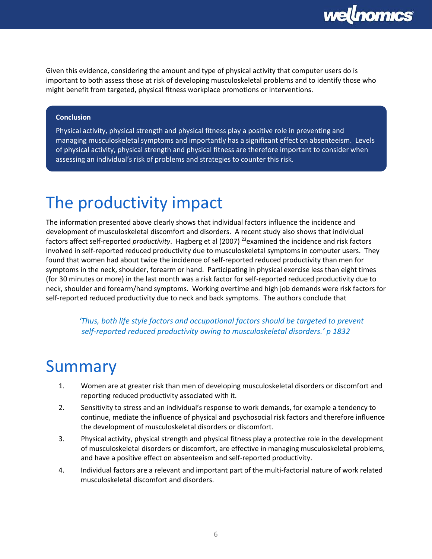

Given this evidence, considering the amount and type of physical activity that computer users do is important to both assess those at risk of developing musculoskeletal problems and to identify those who might benefit from targeted, physical fitness workplace promotions or interventions.

#### **Conclusion**

Physical activity, physical strength and physical fitness play a positive role in preventing and managing musculoskeletal symptoms and importantly has a significant effect on absenteeism. Levels of physical activity, physical strength and physical fitness are therefore important to consider when assessing an individual's risk of problems and strategies to counter this risk.

### <span id="page-5-0"></span>The productivity impact

The information presented above clearly shows that individual factors influence the incidence and development of musculoskeletal discomfort and disorders. A recent study also shows that individual factors affect self-reported *productivity*. Hagberg et al (2007) <sup>23</sup>examined the incidence and risk factors involved in self-reported reduced productivity due to musculoskeletal symptoms in computer users. They found that women had about twice the incidence of self-reported reduced productivity than men for symptoms in the neck, shoulder, forearm or hand. Participating in physical exercise less than eight times (for 30 minutes or more) in the last month was a risk factor for self-reported reduced productivity due to neck, shoulder and forearm/hand symptoms. Working overtime and high job demands were risk factors for self-reported reduced productivity due to neck and back symptoms. The authors conclude that

*'Thus, both life style factors and occupational factors should be targeted to prevent self-reported reduced productivity owing to musculoskeletal disorders.' p 1832*

#### <span id="page-5-1"></span>Summary

- 1. Women are at greater risk than men of developing musculoskeletal disorders or discomfort and reporting reduced productivity associated with it.
- 2. Sensitivity to stress and an individual's response to work demands, for example a tendency to continue, mediate the influence of physical and psychosocial risk factors and therefore influence the development of musculoskeletal disorders or discomfort.
- 3. Physical activity, physical strength and physical fitness play a protective role in the development of musculoskeletal disorders or discomfort, are effective in managing musculoskeletal problems, and have a positive effect on absenteeism and self-reported productivity.
- 4. Individual factors are a relevant and important part of the multi-factorial nature of work related musculoskeletal discomfort and disorders.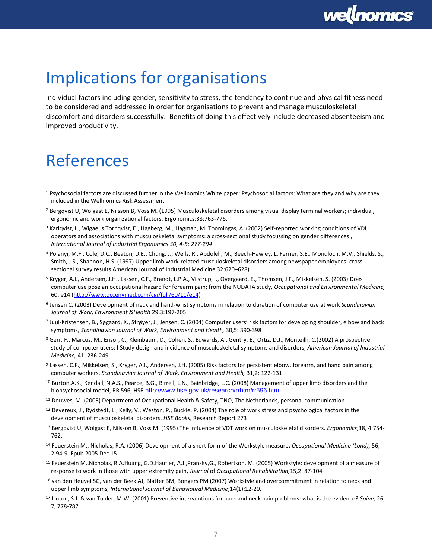

### <span id="page-6-0"></span>Implications for organisations

Individual factors including gender, sensitivity to stress, the tendency to continue and physical fitness need to be considered and addressed in order for organisations to prevent and manage musculoskeletal discomfort and disorders successfully. Benefits of doing this effectively include decreased absenteeism and improved productivity.

### <span id="page-6-1"></span>References

 $\overline{a}$ 

- <sup>3</sup> Karlqvist, L., Wigaeus Tornqvist, E., Hagberg, M., Hagman, M. Toomingas, A. (2002) Self-reported working conditions of VDU operators and associations with musculoskeletal symptoms: a cross-sectional study focussing on gender differences , *International Journal of Industrial Ergonomics 30, 4-5: 277-294*
- <sup>4</sup> Polanyi, M.F., Cole, D.C., Beaton, D.E., Chung, J., Wells, R., Abdolell, M., Beech-Hawley, L. Ferrier, S.E.. Mondloch, M.V., Shields, S., Smith, J.S., Shannon, H.S. (1997) Upper limb work-related musculoskeletal disorders among newspaper employees: crosssectional survey results American Journal of Industrial Medicine 32:620–628)
- <sup>5</sup> Kryger, A.I., Andersen, J.H., Lassen, C.F., Brandt, L.P.A., Vilstrup, I., Overgaard, E., Thomsen, J.F., Mikkelsen, S. (2003) Does computer use pose an occupational hazard for forearm pain; from the NUDATA study, *Occupational and Environmental Medicine,* 60: e14 [\(http://www.occenvmed.com/cgi/full/60/11/e14\)](http://www.occenvmed.com/cgi/full/60/11/e14)
- 6 Jensen C. (2003) Development of neck and hand-wrist symptoms in relation to duration of computer use at work *Scandinavian Journal of Work, Environment &Health* 29,3:197-205
- 7 Juul-Kristensen, B., Søgaard, K., Strøyer, J., Jensen, C. (2004) Computer users' risk factors for developing shoulder, elbow and back symptoms, *Scandinavian Journal of Work, Environment and Health,* 30,5: 390-398
- <sup>8</sup> Gerr, F., Marcus, M., Ensor, C., Kleinbaum, D., Cohen, S., Edwards, A., Gentry, E., Ortiz, D.J., Monteilh, C.(2002) A prospective study of computer users: I Study design and incidence of musculoskeletal symptoms and disorders, *American Journal of Industrial Medicine,* 41: 236-249
- <sup>9</sup> Lassen, C.F., Mikkelsen, S., Kryger, A.I., Andersen, J.H. (2005) Risk factors for persistent elbow, forearm, and hand pain among computer workers, *Scandinavian Journal of Work, Environment and Health,* 31,2: 122-131
- <sup>10</sup> Burton,A.K., Kendall, N.A.S., Pearce, B.G., Birrell, L.N., Bainbridge, L.C. (2008) Management of upper limb disorders and the biopsychosocial model, RR 596, HSE <http://www.hse.gov.uk/research/rrhtm/rr596.htm>
- <sup>11</sup> Douwes, M. (2008) Department of Occupational Health & Safety, TNO, The Netherlands, personal communication
- $12$  Devereux, J., Rydstedt, L., Kelly, V., Weston, P., Buckle, P. (2004) The role of work stress and psychological factors in the development of musculoskeletal disorders. *HSE Books,* Research Report 273
- <sup>13</sup> Bergqvist U, Wolgast E, Nilsson B, Voss M. (1995) The influence of VDT work on musculoskeletal disorders. *Ergonomics*;38, 4:754- 762.
- <sup>14</sup> Feuerstein M., Nicholas, R.A. (2006) Development of a short form of the Workstyle measure**,** *Occupational Medicine (Lond),* 56, 2:94-9. Epub 2005 Dec 15
- <sup>15</sup> Feuerstein M.,Nicholas, R.A.Huang, G.D.Haufler, A.J.,Pransky,G., Robertson, M. (2005) Workstyle: development of a measure of response to work in those with upper extremity pain**,** *Journal* of *Occupational Rehabilitation,*15,2: 87-104
- <sup>16</sup> van den Heuvel SG, van der Beek AJ, Blatter BM, Bongers PM (2007) Workstyle and overcommitment in relation to neck and upper limb symptoms, *International Journal of Behavioural Medicine*;14(1):12-20.
- <sup>17</sup> Linton, S.J. & van Tulder, M.W. (2001) Preventive interventions for back and neck pain problems: what is the evidence? *Spine,* 26, 7, 778-787

<sup>1</sup> Psychosocial factors are discussed further in the Wellnomics White paper: Psychosocial factors: What are they and why are they included in the Wellnomics Risk Assessment

<sup>2</sup> Bergqvist U, Wolgast E, Nilsson B, Voss M. (1995) Musculoskeletal disorders among visual display terminal workers; individual, ergonomic and work organizational factors. Ergonomics;38:763-776.